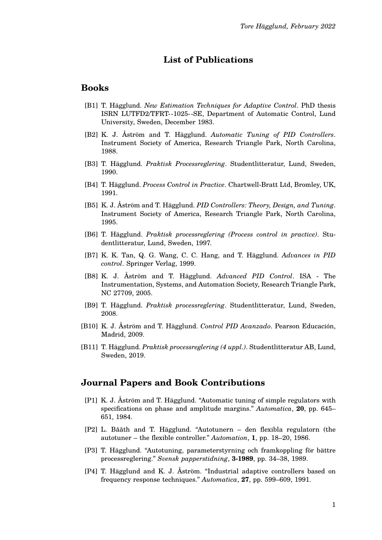# **List of Publications**

## **Books**

- [B1] T. Hägglund. *New Estimation Techniques for Adaptive Control*. PhD thesis ISRN LUTFD2/TFRT- -1025- -SE, Department of Automatic Control, Lund University, Sweden, December 1983.
- [B2] K. J. Åström and T. Hägglund. *Automatic Tuning of PID Controllers*. Instrument Society of America, Research Triangle Park, North Carolina, 1988.
- [B3] T. Hägglund. *Praktisk Processreglering*. Studentlitteratur, Lund, Sweden, 1990.
- [B4] T. Hägglund. *Process Control in Practice*. Chartwell-Bratt Ltd, Bromley, UK, 1991.
- [B5] K. J. Åström and T. Hägglund. *PID Controllers: Theory, Design, and Tuning*. Instrument Society of America, Research Triangle Park, North Carolina, 1995.
- [B6] T. Hägglund. *Praktisk processreglering (Process control in practice)*. Studentlitteratur, Lund, Sweden, 1997.
- [B7] K. K. Tan, Q. G. Wang, C. C. Hang, and T. Hägglund. *Advances in PID control*. Springer Verlag, 1999.
- [B8] K. J. Åström and T. Hägglund. *Advanced PID Control*. ISA The Instrumentation, Systems, and Automation Society, Research Triangle Park, NC 27709, 2005.
- [B9] T. Hägglund. *Praktisk processreglering*. Studentlitteratur, Lund, Sweden, 2008.
- [B10] K. J. Åström and T. Hägglund. *Control PID Avanzado*. Pearson Educación, Madrid, 2009.
- [B11] T. Hägglund. *Praktisk processreglering (4 uppl.)*. Studentlitteratur AB, Lund, Sweden, 2019.

#### **Journal Papers and Book Contributions**

- [P1] K. J. Åström and T. Hägglund. "Automatic tuning of simple regulators with specifications on phase and amplitude margins." *Automatica*, **20**, pp. 645– 651, 1984.
- [P2] L. Bååth and T. Hägglund. "Autotunern den flexibla regulatorn (the autotuner – the flexible controller." *Automation*, **1**, pp. 18–20, 1986.
- [P3] T. Hägglund. "Autotuning, parameterstyrning och framkoppling för bättre processreglering." *Svensk papperstidning*, **3-1989**, pp. 34–38, 1989.
- [P4] T. Hägglund and K. J. Åström. "Industrial adaptive controllers based on frequency response techniques." *Automatica*, **27**, pp. 599–609, 1991.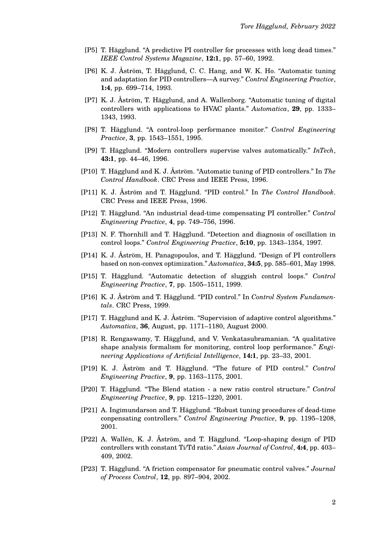- [P5] T. Hägglund. "A predictive PI controller for processes with long dead times." *IEEE Control Systems Magazine*, **12:1**, pp. 57–60, 1992.
- [P6] K. J. Åström, T. Hägglund, C. C. Hang, and W. K. Ho. "Automatic tuning and adaptation for PID controllers—A survey." *Control Engineering Practice*, **1:4**, pp. 699–714, 1993.
- [P7] K. J. Åström, T. Hägglund, and A. Wallenborg. "Automatic tuning of digital controllers with applications to HVAC plants." *Automatica*, **29**, pp. 1333– 1343, 1993.
- [P8] T. Hägglund. "A control-loop performance monitor." *Control Engineering Practice*, **3**, pp. 1543–1551, 1995.
- [P9] T. Hägglund. "Modern controllers supervise valves automatically." *InTech*, **43:1**, pp. 44–46, 1996.
- [P10] T. Hägglund and K. J. Åström. "Automatic tuning of PID controllers." In *The Control Handbook*. CRC Press and IEEE Press, 1996.
- [P11] K. J. Åström and T. Hägglund. "PID control." In *The Control Handbook*. CRC Press and IEEE Press, 1996.
- [P12] T. Hägglund. "An industrial dead-time compensating PI controller." *Control Engineering Practice*, **4**, pp. 749–756, 1996.
- [P13] N. F. Thornhill and T. Hägglund. "Detection and diagnosis of oscillation in control loops." *Control Engineering Practice*, **5:10**, pp. 1343–1354, 1997.
- [P14] K. J. Åström, H. Panagopoulos, and T. Hägglund. "Design of PI controllers based on non-convex optimization." *Automatica*, **34:5**, pp. 585–601, May 1998.
- [P15] T. Hägglund. "Automatic detection of sluggish control loops." *Control Engineering Practice*, **7**, pp. 1505–1511, 1999.
- [P16] K. J. Åström and T. Hägglund. "PID control." In *Control System Fundamentals*. CRC Press, 1999.
- [P17] T. Hägglund and K. J. Åström. "Supervision of adaptive control algorithms." *Automatica*, **36**, August, pp. 1171–1180, August 2000.
- [P18] R. Rengaswamy, T. Hägglund, and V. Venkatasubramanian. "A qualitative shape analysis formalism for monitoring, control loop performance." *Engineering Applications of Artificial Intelligence*, **14:1**, pp. 23–33, 2001.
- [P19] K. J. Åström and T. Hägglund. "The future of PID control." *Control Engineering Practice*, **9**, pp. 1163–1175, 2001.
- [P20] T. Hägglund. "The Blend station a new ratio control structure." *Control Engineering Practice*, **9**, pp. 1215–1220, 2001.
- [P21] A. Ingimundarson and T. Hägglund. "Robust tuning procedures of dead-time conpensating controllers." *Control Engineering Practice*, **9**, pp. 1195–1208, 2001.
- [P22] A. Wallén, K. J. Åström, and T. Hägglund. "Loop-shaping design of PID controllers with constant Ti/Td ratio." *Asian Journal of Control*, **4:4**, pp. 403– 409, 2002.
- [P23] T. Hägglund. "A friction compensator for pneumatic control valves." *Journal of Process Control*, **12**, pp. 897–904, 2002.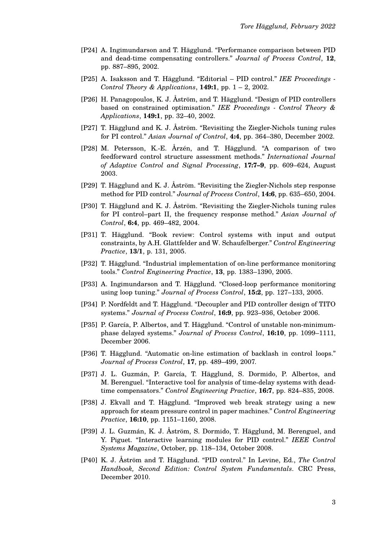- [P24] A. Ingimundarson and T. Hägglund. "Performance comparison between PID and dead-time compensating controllers." *Journal of Process Control*, **12**, pp. 887–895, 2002.
- [P25] A. Isaksson and T. Hägglund. "Editorial PID control." *IEE Proceedings - Control Theory & Applications*, **149:1**, pp. 1 – 2, 2002.
- [P26] H. Panagopoulos, K. J. Åström, and T. Hägglund. "Design of PID controllers based on constrained optimisation." *IEE Proceedings - Control Theory & Applications*, **149:1**, pp. 32–40, 2002.
- [P27] T. Hägglund and K. J. Åström. "Revisiting the Ziegler-Nichols tuning rules for PI control." *Asian Journal of Control*, **4:4**, pp. 364–380, December 2002.
- [P28] M. Petersson, K.-E. Årzén, and T. Hägglund. "A comparison of two feedforward control structure assessment methods." *International Journal of Adaptive Control and Signal Processing*, **17:7–9**, pp. 609–624, August 2003.
- [P29] T. Hägglund and K. J. Åström. "Revisiting the Ziegler-Nichols step response method for PID control." *Journal of Process Control*, **14:6**, pp. 635–650, 2004.
- [P30] T. Hägglund and K. J. Åström. "Revisiting the Ziegler-Nichols tuning rules for PI control–part II, the frequency response method." *Asian Journal of Control*, **6:4**, pp. 469–482, 2004.
- [P31] T. Hägglund. "Book review: Control systems with input and output constraints, by A.H. Glattfelder and W. Schaufelberger." *Control Engineering Practice*, **13/1**, p. 131, 2005.
- [P32] T. Hägglund. "Industrial implementation of on-line performance monitoring tools." *Control Engineering Practice*, **13**, pp. 1383–1390, 2005.
- [P33] A. Ingimundarson and T. Hägglund. "Closed-loop performance monitoring using loop tuning." *Journal of Process Control*, **15:2**, pp. 127–133, 2005.
- [P34] P. Nordfeldt and T. Hägglund. "Decoupler and PID controller design of TITO systems." *Journal of Process Control*, **16:9**, pp. 923–936, October 2006.
- [P35] P. García, P. Albertos, and T. Hägglund. "Control of unstable non-minimumphase delayed systems." *Journal of Process Control*, **16:10**, pp. 1099–1111, December 2006.
- [P36] T. Hägglund. "Automatic on-line estimation of backlash in control loops." *Journal of Process Control*, **17**, pp. 489–499, 2007.
- [P37] J. L. Guzmán, P. García, T. Hägglund, S. Dormido, P. Albertos, and M. Berenguel. "Interactive tool for analysis of time-delay systems with deadtime compensators." *Control Engineering Practice*, **16:7**, pp. 824–835, 2008.
- [P38] J. Ekvall and T. Hägglund. "Improved web break strategy using a new approach for steam pressure control in paper machines." *Control Engineering Practice*, **16:10**, pp. 1151–1160, 2008.
- [P39] J. L. Guzmán, K. J. Åström, S. Dormido, T. Hägglund, M. Berenguel, and Y. Piguet. "Interactive learning modules for PID control." *IEEE Control Systems Magazine*, October, pp. 118–134, October 2008.
- [P40] K. J. Åström and T. Hägglund. "PID control." In Levine, Ed., *The Control Handbook, Second Edition: Control System Fundamentals*. CRC Press, December 2010.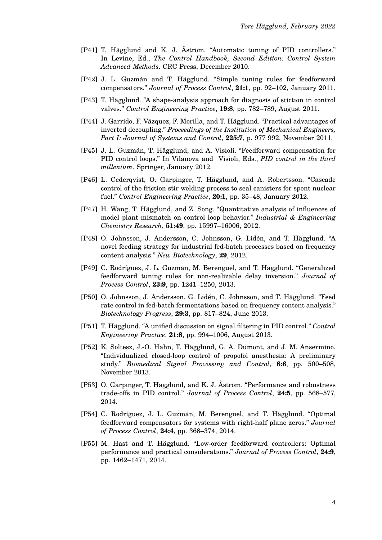- [P41] T. Hägglund and K. J. Åström. "Automatic tuning of PID controllers." In Levine, Ed., *The Control Handbook, Second Edition: Control System Advanced Methods*. CRC Press, December 2010.
- [P42] J. L. Guzmán and T. Hägglund. "Simple tuning rules for feedforward compensators." *Journal of Process Control*, **21:1**, pp. 92–102, January 2011.
- [P43] T. Hägglund. "A shape-analysis approach for diagnosis of stiction in control valves." *Control Engineering Practice*, **19:8**, pp. 782–789, August 2011.
- [P44] J. Garrido, F. Vázquez, F. Morilla, and T. Hägglund. "Practical advantages of inverted decoupling." *Proceedings of the Institution of Mechanical Engineers, Part I: Journal of Systems and Control*, **225:7**, p. 977 992, November 2011.
- [P45] J. L. Guzmán, T. Hägglund, and A. Visioli. "Feedforward compensation for PID control loops." In Vilanova and Visioli, Eds., *PID control in the third millenium*. Springer, January 2012.
- [P46] L. Cederqvist, O. Garpinger, T. Hägglund, and A. Robertsson. "Cascade control of the friction stir welding process to seal canisters for spent nuclear fuel." *Control Engineering Practice*, **20:1**, pp. 35–48, January 2012.
- [P47] H. Wang, T. Hägglund, and Z. Song. "Quantitative analysis of influences of model plant mismatch on control loop behavior." *Industrial & Engineering Chemistry Research*, **51:49**, pp. 15997–16006, 2012.
- [P48] O. Johnsson, J. Andersson, C. Johnsson, G. Lidén, and T. Hägglund. "A novel feeding strategy for industrial fed-batch processes based on frequency content analysis." *New Biotechnology*, **29**, 2012.
- [P49] C. Rodríguez, J. L. Guzmán, M. Berenguel, and T. Hägglund. "Generalized feedforward tuning rules for non-realizable delay inversion." *Journal of Process Control*, **23:9**, pp. 1241–1250, 2013.
- [P50] O. Johnsson, J. Andersson, G. Lidén, C. Johnsson, and T. Hägglund. "Feed rate control in fed-batch fermentations based on frequency content analysis." *Biotechnology Progress*, **29:3**, pp. 817–824, June 2013.
- [P51] T. Hägglund. "A unified discussion on signal filtering in PID control." *Control Engineering Practice*, **21:8**, pp. 994–1006, August 2013.
- [P52] K. Soltesz, J.-O. Hahn, T. Hägglund, G. A. Dumont, and J. M. Ansermino. "Individualized closed-loop control of propofol anesthesia: A preliminary study." *Biomedical Signal Processing and Control*, **8:6**, pp. 500–508, November 2013.
- [P53] O. Garpinger, T. Hägglund, and K. J. Åström. "Performance and robustness trade-offs in PID control." *Journal of Process Control*, **24:5**, pp. 568–577, 2014.
- [P54] C. Rodríguez, J. L. Guzmán, M. Berenguel, and T. Hägglund. "Optimal feedforward compensators for systems with right-half plane zeros." *Journal of Process Control*, **24:4**, pp. 368–374, 2014.
- [P55] M. Hast and T. Hägglund. "Low-order feedforward controllers: Optimal performance and practical considerations." *Journal of Process Control*, **24:9**, pp. 1462–1471, 2014.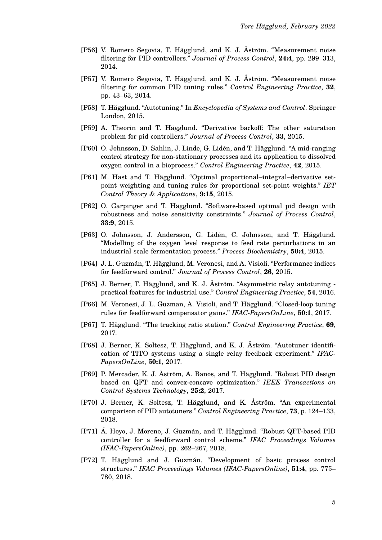- [P56] V. Romero Segovia, T. Hägglund, and K. J. Åström. "Measurement noise filtering for PID controllers." *Journal of Process Control*, **24:4**, pp. 299–313, 2014.
- [P57] V. Romero Segovia, T. Hägglund, and K. J. Åström. "Measurement noise filtering for common PID tuning rules." *Control Engineering Practice*, **32**, pp. 43–63, 2014.
- [P58] T. Hägglund. "Autotuning." In *Encyclopedia of Systems and Control*. Springer London, 2015.
- [P59] A. Theorin and T. Hägglund. "Derivative backoff: The other saturation problem for pid controllers." *Journal of Process Control*, **33**, 2015.
- [P60] O. Johnsson, D. Sahlin, J. Linde, G. Lidén, and T. Hägglund. "A mid-ranging control strategy for non-stationary processes and its application to dissolved oxygen control in a bioprocess." *Control Engineering Practice*, **42**, 2015.
- [P61] M. Hast and T. Hägglund. "Optimal proportional–integral–derivative setpoint weighting and tuning rules for proportional set-point weights." *IET Control Theory & Applications*, **9:15**, 2015.
- [P62] O. Garpinger and T. Hägglund. "Software-based optimal pid design with robustness and noise sensitivity constraints." *Journal of Process Control*, **33:9**, 2015.
- [P63] O. Johnsson, J. Andersson, G. Lidén, C. Johnsson, and T. Hägglund. "Modelling of the oxygen level response to feed rate perturbations in an industrial scale fermentation process." *Process Biochemistry*, **50:4**, 2015.
- [P64] J. L. Guzmán, T. Hägglund, M. Veronesi, and A. Visioli. "Performance indices for feedforward control." *Journal of Process Control*, **26**, 2015.
- [P65] J. Berner, T. Hägglund, and K. J. Åström. "Asymmetric relay autotuning practical features for industrial use." *Control Engineering Practice*, **54**, 2016.
- [P66] M. Veronesi, J. L. Guzman, A. Visioli, and T. Hägglund. "Closed-loop tuning rules for feedforward compensator gains." *IFAC-PapersOnLine*, **50:1**, 2017.
- [P67] T. Hägglund. "The tracking ratio station." *Control Engineering Practice*, **69**, 2017.
- [P68] J. Berner, K. Soltesz, T. Hägglund, and K. J. Åström. "Autotuner identification of TITO systems using a single relay feedback experiment." *IFAC-PapersOnLine*, **50:1**, 2017.
- [P69] P. Mercader, K. J. Åström, A. Banos, and T. Hägglund. "Robust PID design based on QFT and convex-concave optimization." *IEEE Transactions on Control Systems Technology*, **25:2**, 2017.
- [P70] J. Berner, K. Soltesz, T. Hägglund, and K. Åström. "An experimental comparison of PID autotuners." *Control Engineering Practice*, **73**, p. 124–133, 2018.
- [P71] Á. Hoyo, J. Moreno, J. Guzmán, and T. Hägglund. "Robust QFT-based PID controller for a feedforward control scheme." *IFAC Proceedings Volumes (IFAC-PapersOnline)*, pp. 262–267, 2018.
- [P72] T. Hägglund and J. Guzmán. "Development of basic process control structures." *IFAC Proceedings Volumes (IFAC-PapersOnline)*, **51:4**, pp. 775– 780, 2018.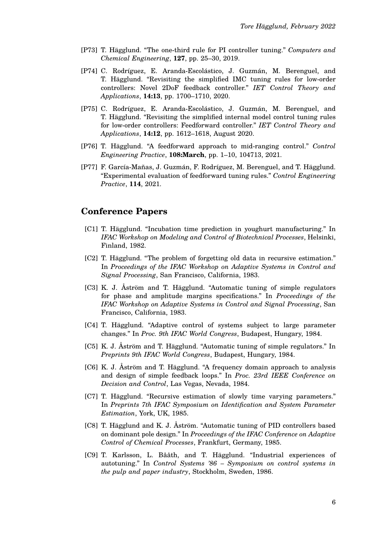- [P73] T. Hägglund. "The one-third rule for PI controller tuning." *Computers and Chemical Engineering*, **127**, pp. 25–30, 2019.
- [P74] C. Rodríguez, E. Aranda-Escolástico, J. Guzmán, M. Berenguel, and T. Hägglund. "Revisiting the simplified IMC tuning rules for low-order controllers: Novel 2DoF feedback controller." *IET Control Theory and Applications*, **14:13**, pp. 1700–1710, 2020.
- [P75] C. Rodríguez, E. Aranda-Escolástico, J. Guzmán, M. Berenguel, and T. Hägglund. "Revisiting the simplified internal model control tuning rules for low-order controllers: Feedforward controller." *IET Control Theory and Applications*, **14:12**, pp. 1612–1618, August 2020.
- [P76] T. Hägglund. "A feedforward approach to mid-ranging control." *Control Engineering Practice*, **108:March**, pp. 1–10, 104713, 2021.
- [P77] F. García-Mañas, J. Guzmán, F. Rodríguez, M. Berenguel, and T. Hägglund. "Experimental evaluation of feedforward tuning rules." *Control Engineering Practice*, **114**, 2021.

### **Conference Papers**

- [C1] T. Hägglund. "Incubation time prediction in youghurt manufacturing." In *IFAC Workshop on Modeling and Control of Biotechnical Processes*, Helsinki, Finland, 1982.
- [C2] T. Hägglund. "The problem of forgetting old data in recursive estimation." In *Proceedings of the IFAC Workshop on Adaptive Systems in Control and Signal Processing*, San Francisco, California, 1983.
- [C3] K. J. Åström and T. Hägglund. "Automatic tuning of simple regulators for phase and amplitude margins specifications." In *Proceedings of the IFAC Workshop on Adaptive Systems in Control and Signal Processing*, San Francisco, California, 1983.
- [C4] T. Hägglund. "Adaptive control of systems subject to large parameter changes." In *Proc. 9th IFAC World Congress*, Budapest, Hungary, 1984.
- [C5] K. J. Åström and T. Hägglund. "Automatic tuning of simple regulators." In *Preprints 9th IFAC World Congress*, Budapest, Hungary, 1984.
- [C6] K. J. Åström and T. Hägglund. "A frequency domain approach to analysis and design of simple feedback loops." In *Proc. 23rd IEEE Conference on Decision and Control*, Las Vegas, Nevada, 1984.
- [C7] T. Hägglund. "Recursive estimation of slowly time varying parameters." In *Preprints 7th IFAC Symposium on Identification and System Parameter Estimation*, York, UK, 1985.
- [C8] T. Hägglund and K. J. Åström. "Automatic tuning of PID controllers based on dominant pole design." In *Proceedings of the IFAC Conference on Adaptive Control of Chemical Processes*, Frankfurt, Germany, 1985.
- [C9] T. Karlsson, L. Bååth, and T. Hägglund. "Industrial experiences of autotuning." In *Control Systems '86 – Symposium on control systems in the pulp and paper industry*, Stockholm, Sweden, 1986.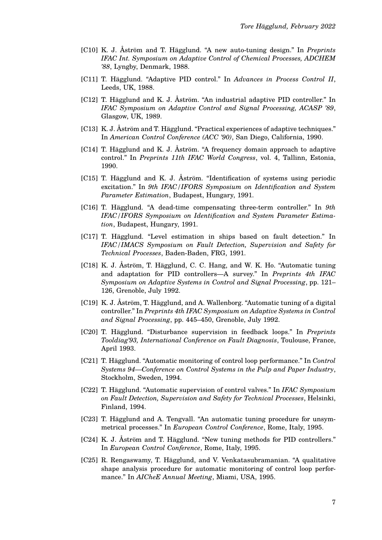- [C10] K. J. Åström and T. Hägglund. "A new auto-tuning design." In *Preprints IFAC Int. Symposium on Adaptive Control of Chemical Processes, ADCHEM '88*, Lyngby, Denmark, 1988.
- [C11] T. Hägglund. "Adaptive PID control." In *Advances in Process Control II*, Leeds, UK, 1988.
- [C12] T. Hägglund and K. J. Åström. "An industrial adaptive PID controller." In *IFAC Symposium on Adaptive Control and Signal Processing, ACASP '89*, Glasgow, UK, 1989.
- [C13] K. J. Åström and T. Hägglund. "Practical experiences of adaptive techniques." In *American Control Conference (ACC '90)*, San Diego, California, 1990.
- [C14] T. Hägglund and K. J. Åström. "A frequency domain approach to adaptive control." In *Preprints 11th IFAC World Congress*, vol. 4, Tallinn, Estonia, 1990.
- [C15] T. Hägglund and K. J. Åström. "Identification of systems using periodic excitation." In *9th IFAC/IFORS Symposium on Identification and System Parameter Estimation*, Budapest, Hungary, 1991.
- [C16] T. Hägglund. "A dead-time compensating three-term controller." In *9th IFAC/IFORS Symposium on Identification and System Parameter Estimation*, Budapest, Hungary, 1991.
- [C17] T. Hägglund. "Level estimation in ships based on fault detection." In *IFAC/IMACS Symposium on Fault Detection, Supervision and Safety for Technical Processes*, Baden-Baden, FRG, 1991.
- [C18] K. J. Åström, T. Hägglund, C. C. Hang, and W. K. Ho. "Automatic tuning and adaptation for PID controllers—A survey." In *Preprints 4th IFAC Symposium on Adaptive Systems in Control and Signal Processing*, pp. 121– 126, Grenoble, July 1992.
- [C19] K. J. Åström, T. Hägglund, and A. Wallenborg. "Automatic tuning of a digital controller." In *Preprints 4th IFAC Symposium on Adaptive Systems in Control and Signal Processing*, pp. 445–450, Grenoble, July 1992.
- [C20] T. Hägglund. "Disturbance supervision in feedback loops." In *Preprints Tooldiag'93, International Conference on Fault Diagnosis*, Toulouse, France, April 1993.
- [C21] T. Hägglund. "Automatic monitoring of control loop performance." In *Control Systems 94—Conference on Control Systems in the Pulp and Paper Industry*, Stockholm, Sweden, 1994.
- [C22] T. Hägglund. "Automatic supervision of control valves." In *IFAC Symposium on Fault Detection, Supervision and Safety for Technical Processes*, Helsinki, Finland, 1994.
- [C23] T. Hägglund and A. Tengvall. "An automatic tuning procedure for unsymmetrical processes." In *European Control Conference*, Rome, Italy, 1995.
- [C24] K. J. Åström and T. Hägglund. "New tuning methods for PID controllers." In *European Control Conference*, Rome, Italy, 1995.
- [C25] R. Rengaswamy, T. Hägglund, and V. Venkatasubramanian. "A qualitative shape analysis procedure for automatic monitoring of control loop performance." In *AICheE Annual Meeting*, Miami, USA, 1995.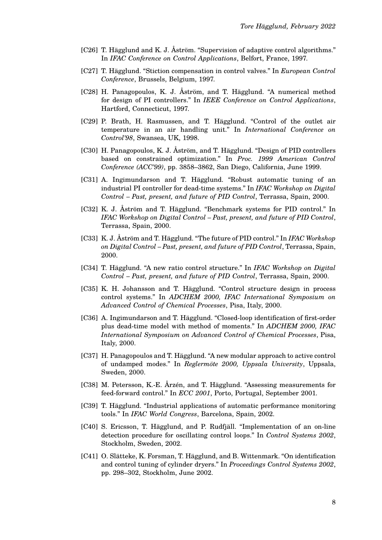- [C26] T. Hägglund and K. J. Åström. "Supervision of adaptive control algorithms." In *IFAC Conference on Control Applications*, Belfort, France, 1997.
- [C27] T. Hägglund. "Stiction compensation in control valves." In *European Control Conference*, Brussels, Belgium, 1997.
- [C28] H. Panagopoulos, K. J. Åström, and T. Hägglund. "A numerical method for design of PI controllers." In *IEEE Conference on Control Applications*, Hartford, Connecticut, 1997.
- [C29] P. Brath, H. Rasmussen, and T. Hägglund. "Control of the outlet air temperature in an air handling unit." In *International Conference on Control'98*, Swansea, UK, 1998.
- [C30] H. Panagopoulos, K. J. Åström, and T. Hägglund. "Design of PID controllers based on constrained optimization." In *Proc. 1999 American Control Conference (ACC'99)*, pp. 3858–3862, San Diego, California, June 1999.
- [C31] A. Ingimundarson and T. Hägglund. "Robust automatic tuning of an industrial PI controller for dead-time systems." In *IFAC Workshop on Digital Control – Past, present, and future of PID Control*, Terrassa, Spain, 2000.
- [C32] K. J. Åström and T. Hägglund. "Benchmark systems for PID control." In *IFAC Workshop on Digital Control – Past, present, and future of PID Control*, Terrassa, Spain, 2000.
- [C33] K. J. Åström and T. Hägglund. "The future of PID control." In *IFAC Workshop on Digital Control – Past, present, and future of PID Control*, Terrassa, Spain, 2000.
- [C34] T. Hägglund. "A new ratio control structure." In *IFAC Workshop on Digital Control – Past, present, and future of PID Control*, Terrassa, Spain, 2000.
- [C35] K. H. Johansson and T. Hägglund. "Control structure design in process control systems." In *ADCHEM 2000, IFAC International Symposium on Advanced Control of Chemical Processes*, Pisa, Italy, 2000.
- [C36] A. Ingimundarson and T. Hägglund. "Closed-loop identification of first-order plus dead-time model with method of moments." In *ADCHEM 2000, IFAC International Symposium on Advanced Control of Chemical Processes*, Pisa, Italy, 2000.
- [C37] H. Panagopoulos and T. Hägglund. "A new modular approach to active control of undamped modes." In *Reglermöte 2000, Uppsala University*, Uppsala, Sweden, 2000.
- [C38] M. Petersson, K.-E. Årzén, and T. Hägglund. "Assessing measurements for feed-forward control." In *ECC 2001*, Porto, Portugal, September 2001.
- [C39] T. Hägglund. "Industrial applications of automatic performance monitoring tools." In *IFAC World Congress*, Barcelona, Spain, 2002.
- [C40] S. Ericsson, T. Hägglund, and P. Rudfjäll. "Implementation of an on-line detection procedure for oscillating control loops." In *Control Systems 2002*, Stockholm, Sweden, 2002.
- [C41] O. Slätteke, K. Forsman, T. Hägglund, and B. Wittenmark. "On identification and control tuning of cylinder dryers." In *Proceedings Control Systems 2002*, pp. 298–302, Stockholm, June 2002.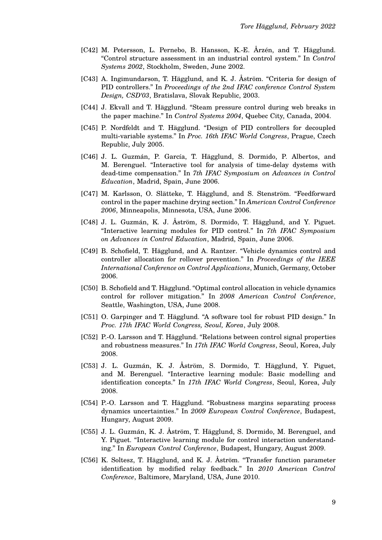- [C42] M. Petersson, L. Pernebo, B. Hansson, K.-E. Årzén, and T. Hägglund. "Control structure assessment in an industrial control system." In *Control Systems 2002*, Stockholm, Sweden, June 2002.
- [C43] A. Ingimundarson, T. Hägglund, and K. J. Åström. "Criteria for design of PID controllers." In *Proceedings of the 2nd IFAC conference Control System Design, CSD'03*, Bratislava, Slovak Republic, 2003.
- [C44] J. Ekvall and T. Hägglund. "Steam pressure control during web breaks in the paper machine." In *Control Systems 2004*, Quebec City, Canada, 2004.
- [C45] P. Nordfeldt and T. Hägglund. "Design of PID controllers for decoupled multi-variable systems." In *Proc. 16th IFAC World Congress*, Prague, Czech Republic, July 2005.
- [C46] J. L. Guzmán, P. García, T. Hägglund, S. Dormido, P. Albertos, and M. Berenguel. "Interactive tool for analysis of time-delay dystems with dead-time compensation." In *7th IFAC Symposium on Advances in Control Education*, Madrid, Spain, June 2006.
- [C47] M. Karlsson, O. Slätteke, T. Hägglund, and S. Stenström. "Feedforward control in the paper machine drying section." In *American Control Conference 2006*, Minneapolis, Minnesota, USA, June 2006.
- [C48] J. L. Guzmán, K. J. Åström, S. Dormido, T. Hägglund, and Y. Piguet. "Interactive learning modules for PID control." In *7th IFAC Symposium on Advances in Control Education*, Madrid, Spain, June 2006.
- [C49] B. Schofield, T. Hägglund, and A. Rantzer. "Vehicle dynamics control and controller allocation for rollover prevention." In *Proceedings of the IEEE International Conference on Control Applications*, Munich, Germany, October 2006.
- [C50] B. Schofield and T. Hägglund. "Optimal control allocation in vehicle dynamics control for rollover mitigation." In *2008 American Control Conference*, Seattle, Washington, USA, June 2008.
- [C51] O. Garpinger and T. Hägglund. "A software tool for robust PID design." In *Proc. 17th IFAC World Congress, Seoul, Korea*, July 2008.
- [C52] P.-O. Larsson and T. Hägglund. "Relations between control signal properties and robustness measures." In *17th IFAC World Congress*, Seoul, Korea, July 2008.
- [C53] J. L. Guzmán, K. J. Åström, S. Dormido, T. Hägglund, Y. Piguet, and M. Berenguel. "Interactive learning module: Basic modelling and identification concepts." In *17th IFAC World Congress*, Seoul, Korea, July 2008.
- [C54] P.-O. Larsson and T. Hägglund. "Robustness margins separating process dynamics uncertainties." In *2009 European Control Conference*, Budapest, Hungary, August 2009.
- [C55] J. L. Guzmán, K. J. Åström, T. Hägglund, S. Dormido, M. Berenguel, and Y. Piguet. "Interactive learning module for control interaction understanding." In *European Control Conference*, Budapest, Hungary, August 2009.
- [C56] K. Soltesz, T. Hägglund, and K. J. Åström. "Transfer function parameter identification by modified relay feedback." In *2010 American Control Conference*, Baltimore, Maryland, USA, June 2010.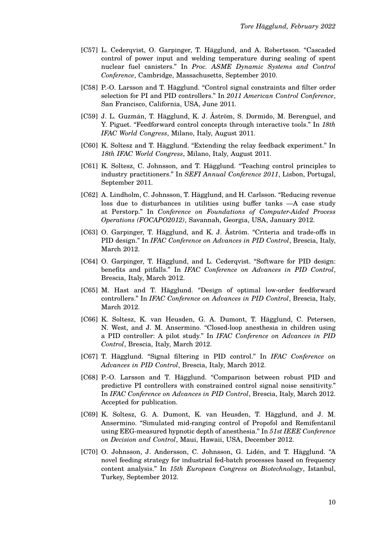- [C57] L. Cederqvist, O. Garpinger, T. Hägglund, and A. Robertsson. "Cascaded control of power input and welding temperature during sealing of spent nuclear fuel canisters." In *Proc. ASME Dynamic Systems and Control Conference*, Cambridge, Massachusetts, September 2010.
- [C58] P.-O. Larsson and T. Hägglund. "Control signal constraints and filter order selection for PI and PID controllers." In *2011 American Control Conference*, San Francisco, California, USA, June 2011.
- [C59] J. L. Guzmán, T. Hägglund, K. J. Åström, S. Dormido, M. Berenguel, and Y. Piguet. "Feedforward control concepts through interactive tools." In *18th IFAC World Congress*, Milano, Italy, August 2011.
- [C60] K. Soltesz and T. Hägglund. "Extending the relay feedback experiment." In *18th IFAC World Congress*, Milano, Italy, August 2011.
- [C61] K. Soltesz, C. Johnsson, and T. Hägglund. "Teaching control principles to industry practitioners." In *SEFI Annual Conference 2011*, Lisbon, Portugal, September 2011.
- [C62] A. Lindholm, C. Johnsson, T. Hägglund, and H. Carlsson. "Reducing revenue loss due to disturbances in utilities using buffer tanks —A case study at Perstorp." In *Conference on Foundations of Computer-Aided Process Operations (FOCAPO2012)*, Savannah, Georgia, USA, January 2012.
- [C63] O. Garpinger, T. Hägglund, and K. J. Åström. "Criteria and trade-offs in PID design." In *IFAC Conference on Advances in PID Control*, Brescia, Italy, March 2012.
- [C64] O. Garpinger, T. Hägglund, and L. Cederqvist. "Software for PID design: benefits and pitfalls." In *IFAC Conference on Advances in PID Control*, Brescia, Italy, March 2012.
- [C65] M. Hast and T. Hägglund. "Design of optimal low-order feedforward controllers." In *IFAC Conference on Advances in PID Control*, Brescia, Italy, March 2012.
- [C66] K. Soltesz, K. van Heusden, G. A. Dumont, T. Hägglund, C. Petersen, N. West, and J. M. Ansermino. "Closed-loop anesthesia in children using a PID controller: A pilot study." In *IFAC Conference on Advances in PID Control*, Brescia, Italy, March 2012.
- [C67] T. Hägglund. "Signal filtering in PID control." In *IFAC Conference on Advances in PID Control*, Brescia, Italy, March 2012.
- [C68] P.-O. Larsson and T. Hägglund. "Comparison between robust PID and predictive PI controllers with constrained control signal noise sensitivity." In *IFAC Conference on Advances in PID Control*, Brescia, Italy, March 2012. Accepted for publication.
- [C69] K. Soltesz, G. A. Dumont, K. van Heusden, T. Hägglund, and J. M. Ansermino. "Simulated mid-ranging control of Propofol and Remifentanil using EEG-measured hypnotic depth of anesthesia." In *51st IEEE Conference on Decision and Control*, Maui, Hawaii, USA, December 2012.
- [C70] O. Johnsson, J. Andersson, C. Johnsson, G. Lidén, and T. Hägglund. "A novel feeding strategy for industrial fed-batch processes based on frequency content analysis." In *15th European Congress on Biotechnology*, Istanbul, Turkey, September 2012.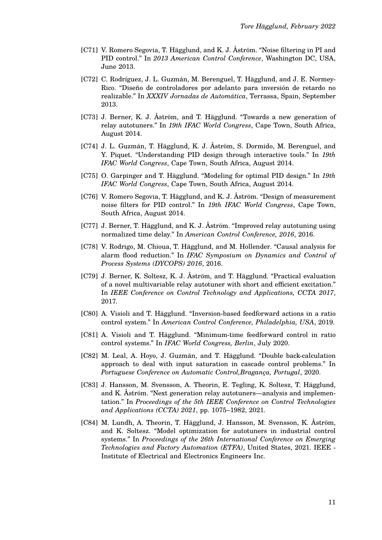- [C71] V. Romero Segovia, T. Hägglund, and K. J. Åström. "Noise filtering in PI and PID control." In *2013 American Control Conference*, Washington DC, USA, June 2013.
- [C72] C. Rodríguez, J. L. Guzmán, M. Berenguel, T. Hägglund, and J. E. Normey-Rico. "Diseño de controladores por adelanto para inversión de retardo no realizable." In *XXXIV Jornadas de Automática*, Terrassa, Spain, September 2013.
- [C73] J. Berner, K. J. Åström, and T. Hägglund. "Towards a new generation of relay autotuners." In *19th IFAC World Congress*, Cape Town, South Africa, August 2014.
- [C74] J. L. Guzmán, T. Hägglund, K. J. Åström, S. Dormido, M. Berenguel, and Y. Piquet. "Understanding PID design through interactive tools." In *19th IFAC World Congress*, Cape Town, South Africa, August 2014.
- [C75] O. Garpinger and T. Hägglund. "Modeling for optimal PID design." In *19th IFAC World Congress*, Cape Town, South Africa, August 2014.
- [C76] V. Romero Segovia, T. Hägglund, and K. J. Åström. "Design of measurement noise filters for PID control." In *19th IFAC World Congress*, Cape Town, South Africa, August 2014.
- [C77] J. Berner, T. Hägglund, and K. J. Åström. "Improved relay autotuning using normalized time delay." In *American Control Conference, 2016*, 2016.
- [C78] V. Rodrigo, M. Chioua, T. Hägglund, and M. Hollender. "Causal analysis for alarm flood reduction." In *IFAC Symposium on Dynamics and Control of Process Systems (DYCOPS) 2016*, 2016.
- [C79] J. Berner, K. Soltesz, K. J. Åström, and T. Hägglund. "Practical evaluation of a novel multivariable relay autotuner with short and efficient excitation." In *IEEE Conference on Control Technology and Applications, CCTA 2017*, 2017.
- [C80] A. Visioli and T. Hägglund. "Inversion-based feedforward actions in a ratio control system." In *American Control Conference, Philadelphia, USA*, 2019.
- [C81] A. Visioli and T. Hägglund. "Minimum-time feedforward control in ratio control systems." In *IFAC World Congress, Berlin*, July 2020.
- [C82] M. Leal, A. Hoyo, J. Guzmán, and T. Hägglund. "Double back-calculation approach to deal with input saturation in cascade control problems." In *Portuguese Conference on Automatic Control,Bragança, Portugal*, 2020.
- [C83] J. Hansson, M. Svensson, A. Theorin, E. Tegling, K. Soltesz, T. Hägglund, and K. Åström. "Next generation relay autotuners—analysis and implementation." In *Proceedings of the 5th IEEE Conference on Control Technologies and Applications (CCTA) 2021*, pp. 1075–1982, 2021.
- [C84] M. Lundh, A. Theorin, T. Hägglund, J. Hansson, M. Svensson, K. Åström, and K. Soltesz. "Model optimization for autotuners in industrial control systems." In *Proceedings of the 26th International Conference on Emerging Technologies and Factory Automation (ETFA)*, United States, 2021. IEEE - Institute of Electrical and Electronics Engineers Inc.